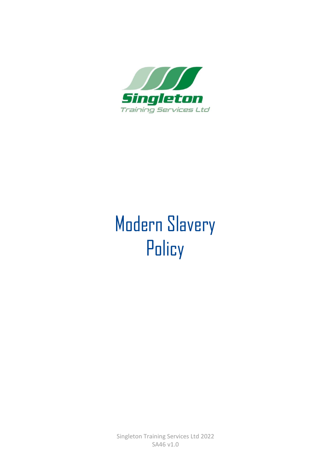

## Modern Slavery **Policy**

Singleton Training Services Ltd 2022 SA46 v1.0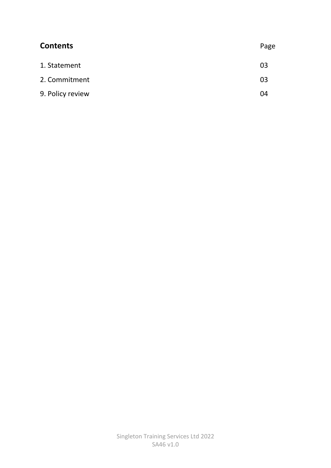| <b>Contents</b>  | Page |
|------------------|------|
| 1. Statement     | 03   |
| 2. Commitment    | 03   |
| 9. Policy review | 04   |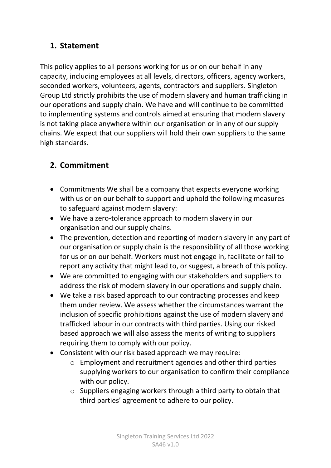## **1. Statement**

This policy applies to all persons working for us or on our behalf in any capacity, including employees at all levels, directors, officers, agency workers, seconded workers, volunteers, agents, contractors and suppliers. Singleton Group Ltd strictly prohibits the use of modern slavery and human trafficking in our operations and supply chain. We have and will continue to be committed to implementing systems and controls aimed at ensuring that modern slavery is not taking place anywhere within our organisation or in any of our supply chains. We expect that our suppliers will hold their own suppliers to the same high standards.

## **2. Commitment**

- Commitments We shall be a company that expects everyone working with us or on our behalf to support and uphold the following measures to safeguard against modern slavery:
- We have a zero-tolerance approach to modern slavery in our organisation and our supply chains.
- The prevention, detection and reporting of modern slavery in any part of our organisation or supply chain is the responsibility of all those working for us or on our behalf. Workers must not engage in, facilitate or fail to report any activity that might lead to, or suggest, a breach of this policy.
- We are committed to engaging with our stakeholders and suppliers to address the risk of modern slavery in our operations and supply chain.
- We take a risk based approach to our contracting processes and keep them under review. We assess whether the circumstances warrant the inclusion of specific prohibitions against the use of modern slavery and trafficked labour in our contracts with third parties. Using our risked based approach we will also assess the merits of writing to suppliers requiring them to comply with our policy.
- Consistent with our risk based approach we may require:
	- o Employment and recruitment agencies and other third parties supplying workers to our organisation to confirm their compliance with our policy.
	- o Suppliers engaging workers through a third party to obtain that third parties' agreement to adhere to our policy.